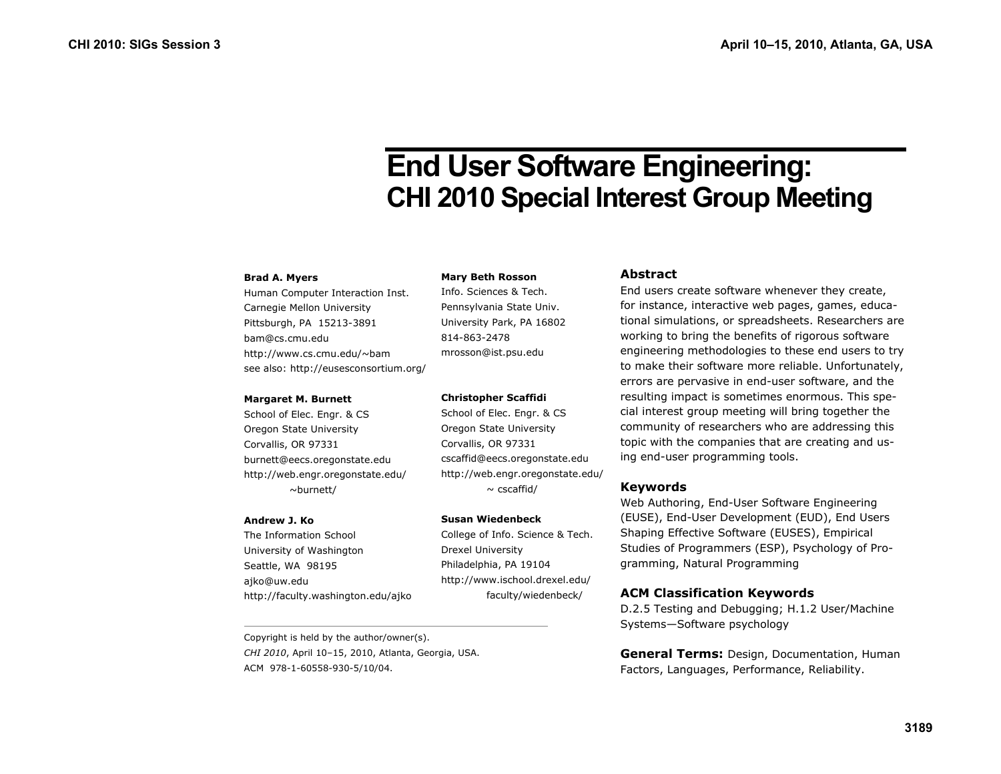# **End User Software Engineering: CHI 2010 Special Interest Group Meeting**

#### **Brad A. Myers**

Human Computer Interaction Inst. Carnegie Mellon University Pittsburgh, PA 15213-3891 bam@cs.cmu.edu http://www.cs.cmu.edu/~bam see also: http://eusesconsortium.org/

#### **Margaret M. Burnett**

School of Elec. Engr. & CS Oregon State University Corvallis, OR 97331 burnett@eecs.oregonstate.edu http://web.engr.oregonstate.edu/ ~burnett/

#### **Andrew J. Ko**

The Information School University of Washington Seattle, WA 98195 ajko@uw.edu http://faculty.washington.edu/ajko

Copyright is held by the author/owner(s). *CHI 2010*, April 10–15, 2010, Atlanta, Georgia, USA. ACM 978-1-60558-930-5/10/04.

#### **Mary Beth Rosson**

Info. Sciences & Tech. Pennsylvania State Univ. University Park, PA 16802 814-863-2478 mrosson@ist.psu.edu

### **Christopher Scaffidi**

School of Elec. Engr. & CS Oregon State University Corvallis, OR 97331 cscaffid@eecs.oregonstate.edu http://web.engr.oregonstate.edu/  $\sim$  cscaffid/

### **Susan Wiedenbeck**

College of Info. Science & Tech. Drexel University Philadelphia, PA 19104 http://www.ischool.drexel.edu/ faculty/wiedenbeck/

## **Abstract**

End users create software whenever they create, for instance, interactive web pages, games, educational simulations, or spreadsheets. Researchers are working to bring the benefits of rigorous software engineering methodologies to these end users to try to make their software more reliable. Unfortunately, errors are pervasive in end-user software, and the resulting impact is sometimes enormous. This special interest group meeting will bring together the community of researchers who are addressing this topic with the companies that are creating and using end-user programming tools.

## **Keywords**

Web Authoring, End-User Software Engineering (EUSE), End-User Development (EUD), End Users Shaping Effective Software (EUSES), Empirical Studies of Programmers (ESP), Psychology of Programming, Natural Programming

# **ACM Classification Keywords**

D.2.5 Testing and Debugging; H.1.2 User/Machine Systems—Software psychology

**General Terms:** Design, Documentation, Human Factors, Languages, Performance, Reliability.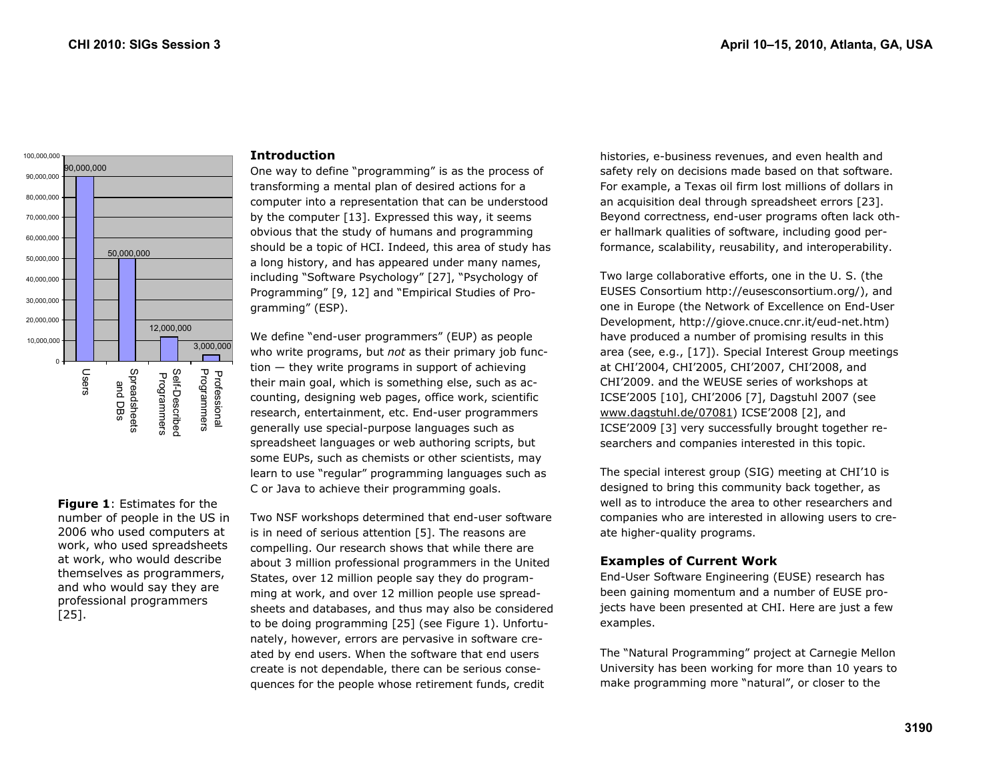

## **Figure 1**: Estimates for the number of people in the US in 2006 who used computers at work, who used spreadsheets at work, who would describe themselves as programmers, and who would say they are professional programmers [25].

## **Introduction**

One way to define "programming" is as the process of transforming a mental plan of desired actions for a computer into a representation that can be understood by the computer [13]. Expressed this way, it seems obvious that the study of humans and programming should be a topic of HCI. Indeed, this area of study has a long history, and has appeared under many names, including "Software Psychology" [27], "Psychology of Programming" [9, 12] and "Empirical Studies of Programming" (ESP).

We define "end-user programmers" (EUP) as people who write programs, but *not* as their primary job function — they write programs in support of achieving their main goal, which is something else, such as accounting, designing web pages, office work, scientific research, entertainment, etc. End-user programmers generally use special-purpose languages such as spreadsheet languages or web authoring scripts, but some EUPs, such as chemists or other scientists, may learn to use "regular" programming languages such as C or Java to achieve their programming goals.

Two NSF workshops determined that end-user software is in need of serious attention [5]. The reasons are compelling. Our research shows that while there are about 3 million professional programmers in the United States, over 12 million people say they do programming at work, and over 12 million people use spreadsheets and databases, and thus may also be considered to be doing programming [25] (see Figure 1). Unfortunately, however, errors are pervasive in software created by end users. When the software that end users create is not dependable, there can be serious consequences for the people whose retirement funds, credit

histories, e-business revenues, and even health and safety rely on decisions made based on that software. For example, a Texas oil firm lost millions of dollars in an acquisition deal through spreadsheet errors [23]. Beyond correctness, end-user programs often lack other hallmark qualities of software, including good performance, scalability, reusability, and interoperability.

Two large collaborative efforts, one in the U. S. (the EUSES Consortium http://eusesconsortium.org/), and one in Europe (the Network of Excellence on End-User Development, http://giove.cnuce.cnr.it/eud-net.htm) have produced a number of promising results in this area (see, e.g., [17]). Special Interest Group meetings at CHI'2004, CHI'2005, CHI'2007, CHI'2008, and CHI'2009. and the WEUSE series of workshops at ICSE'2005 [10], CHI'2006 [7], Dagstuhl 2007 (see www.dagstuhl.de/07081) ICSE'2008 [2], and ICSE'2009 [3] very successfully brought together researchers and companies interested in this topic.

The special interest group (SIG) meeting at CHI'10 is designed to bring this community back together, as well as to introduce the area to other researchers and companies who are interested in allowing users to create higher-quality programs.

# **Examples of Current Work**

End-User Software Engineering (EUSE) research has been gaining momentum and a number of EUSE projects have been presented at CHI. Here are just a few examples.

The "Natural Programming" project at Carnegie Mellon University has been working for more than 10 years to make programming more "natural", or closer to the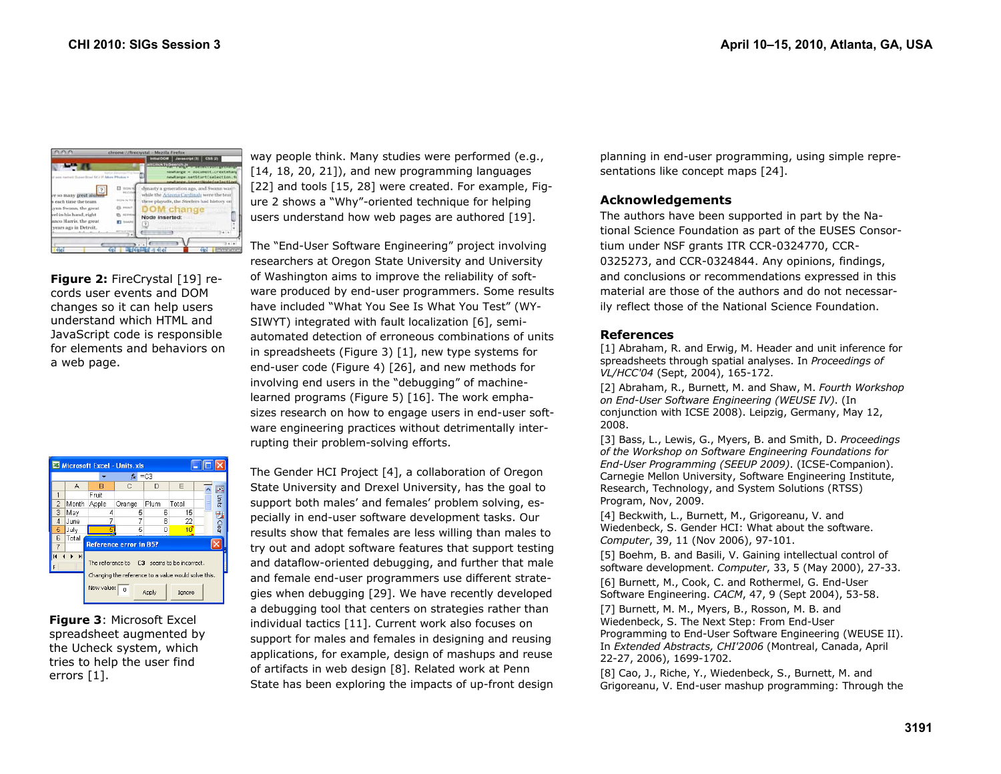| dynasty a generation ago, and Swann was<br>while the Arizona Cardinals were the tear<br>these playoffs, the Steelers had history on<br>DOM change<br>Node inserted:<br>in in |
|------------------------------------------------------------------------------------------------------------------------------------------------------------------------------|
|                                                                                                                                                                              |

**Figure 2: FireCrystal [19] re**cords user events and DOM changes so it can help users understand which HTML and JavaScript code is responsible for elements and behaviors on a web page.

| Microsoft Excel - Units.xls                                                                       |                               |            |                |       |                 |  |                |  |  |  |  |  |
|---------------------------------------------------------------------------------------------------|-------------------------------|------------|----------------|-------|-----------------|--|----------------|--|--|--|--|--|
| $=$ C3<br>$f_X$                                                                                   |                               |            |                |       |                 |  |                |  |  |  |  |  |
|                                                                                                   | А                             | в          | Č              | D     | E               |  |                |  |  |  |  |  |
|                                                                                                   |                               | Fruit      |                |       |                 |  | <b>E</b> Units |  |  |  |  |  |
| $\overline{2}$                                                                                    | Month                         | Apple      | Orange         | Plum  | Total           |  |                |  |  |  |  |  |
| 3                                                                                                 | May                           | 4          | 5              | 6     | 15              |  |                |  |  |  |  |  |
| 4                                                                                                 | June                          | 7          | 7              | R     | 22              |  | <b>Todes</b>   |  |  |  |  |  |
| 5                                                                                                 | July                          |            | 5              | n     | 10 <sup>1</sup> |  |                |  |  |  |  |  |
| 6                                                                                                 | Total                         |            |                |       |                 |  |                |  |  |  |  |  |
|                                                                                                   | <b>Reference error in B5?</b> |            |                |       |                 |  |                |  |  |  |  |  |
| The reference to C3 seems to be incorrect.<br>Changing the reference to a value would solve this. |                               |            |                |       |                 |  |                |  |  |  |  |  |
|                                                                                                   |                               | New value: | $\overline{0}$ | Apply | Ignore          |  |                |  |  |  |  |  |

**Figure 3**: Microsoft Excel spreadsheet augmented by the Ucheck system, which tries to help the user find errors [1].

way people think. Many studies were performed (e.g., [14, 18, 20, 21]), and new programming languages [22] and tools [15, 28] were created. For example, Figure 2 shows a "Why"-oriented technique for helping users understand how web pages are authored [19].

The "End-User Software Engineering" project involving researchers at Oregon State University and University of Washington aims to improve the reliability of software produced by end-user programmers. Some results have included "What You See Is What You Test" (WY-SIWYT) integrated with fault localization [6], semiautomated detection of erroneous combinations of units in spreadsheets (Figure 3) [1], new type systems for end-user code (Figure 4) [26], and new methods for involving end users in the "debugging" of machinelearned programs (Figure 5) [16]. The work emphasizes research on how to engage users in end-user software engineering practices without detrimentally interrupting their problem-solving efforts.

The Gender HCI Project [4], a collaboration of Oregon State University and Drexel University, has the goal to support both males' and females' problem solving, especially in end-user software development tasks. Our results show that females are less willing than males to try out and adopt software features that support testing and dataflow-oriented debugging, and further that male and female end-user programmers use different strategies when debugging [29]. We have recently developed a debugging tool that centers on strategies rather than individual tactics [11]. Current work also focuses on support for males and females in designing and reusing applications, for example, design of mashups and reuse of artifacts in web design [8]. Related work at Penn State has been exploring the impacts of up-front design

planning in end-user programming, using simple representations like concept maps [24].

# **Acknowledgements**

The authors have been supported in part by the National Science Foundation as part of the EUSES Consortium under NSF grants ITR CCR-0324770, CCR-0325273, and CCR-0324844. Any opinions, findings, and conclusions or recommendations expressed in this material are those of the authors and do not necessarily reflect those of the National Science Foundation.

## **References**

[1] Abraham, R. and Erwig, M. Header and unit inference for spreadsheets through spatial analyses. In *Proceedings of VL/HCC'04* (Sept, 2004), 165-172.

[2] Abraham, R., Burnett, M. and Shaw, M. *Fourth Workshop on End-User Software Engineering (WEUSE IV)*. (In conjunction with ICSE 2008). Leipzig, Germany, May 12, 2008.

[3] Bass, L., Lewis, G., Myers, B. and Smith, D. *Proceedings of the Workshop on Software Engineering Foundations for End-User Programming (SEEUP 2009)*. (ICSE-Companion). Carnegie Mellon University, Software Engineering Institute, Research, Technology, and System Solutions (RTSS) Program, Nov, 2009.

[4] Beckwith, L., Burnett, M., Grigoreanu, V. and Wiedenbeck, S. Gender HCI: What about the software. *Computer*, 39, 11 (Nov 2006), 97-101.

[5] Boehm, B. and Basili, V. Gaining intellectual control of software development. *Computer*, 33, 5 (May 2000), 27-33. [6] Burnett, M., Cook, C. and Rothermel, G. End-User Software Engineering. *CACM*, 47, 9 (Sept 2004), 53-58.

[7] Burnett, M. M., Myers, B., Rosson, M. B. and Wiedenbeck, S. The Next Step: From End-User Programming to End-User Software Engineering (WEUSE II). In *Extended Abstracts, CHI'2006* (Montreal, Canada, April 22-27, 2006), 1699-1702.

[8] Cao, J., Riche, Y., Wiedenbeck, S., Burnett, M. and Grigoreanu, V. End-user mashup programming: Through the